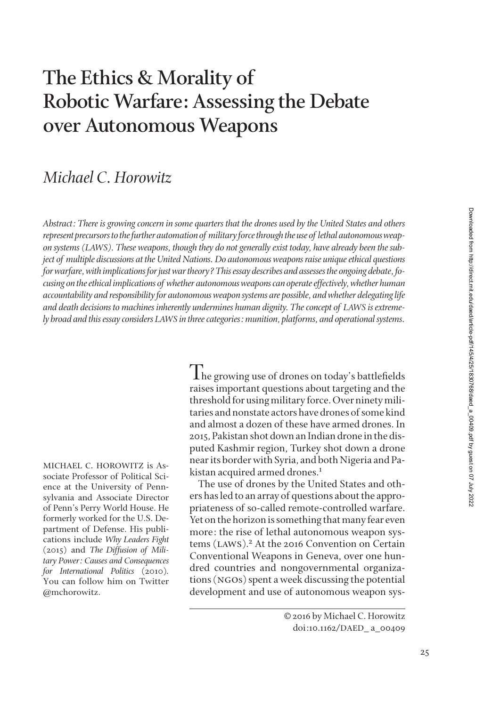## **The Ethics & Morality of Robotic Warfare: Assessing the Debate over Autonomous Weapons**

## *Michael C. Horowitz*

*Abstract: There is growing concern in some quarters that the drones used by the United States and others represent precursors to the further automation of military force through the use of lethal autonomous weapon systems (LAWS). These weapons, though they do not generally exist today, have already been the subject of multiple discussions at the United Nations. Do autonomous weapons raise unique ethical questions for warfare, with implications for just war theory? This essay describes and assesses the ongoing debate, focusing on the ethical implications of whether autonomous weapons can operate effectively, whether human accountability and responsibility for autonomous weapon systems are possible, and whether delegating life and death decisions to machines inherently undermines human dignity. The concept of LAWS is extremely broad and this essay considers LAWS in three categories: munition, platforms, and operational systems.*

MICHAEL C. HOROWITZ is Associate Professor of Political Science at the University of Pennsylvania and Associate Director of Penn's Perry World House. He formerly worked for the U.S. Department of Defense. His publications include *Why Leaders Fight*  (2015) and *The Diffusion of Military Power: Causes and Consequences for International Politics* (2010)*.*  You can follow him on Twitter @mchorowitz.

The growing use of drones on today's battlefields raises important questions about targeting and the threshold for using military force. Over ninety militaries and nonstate actors have drones of some kind and almost a dozen of these have armed drones. In 2015, Pakistan shot down an Indian drone in the disputed Kashmir region, Turkey shot down a drone near its border with Syria, and both Nigeria and Pakistan acquired armed drones.<sup>1</sup>

The use of drones by the United States and others has led to an array of questions about the appropriateness of so-called remote-controlled warfare. Yet on the horizon is something that many fear even more: the rise of lethal autonomous weapon systems (LAWS).<sup>2</sup> At the 2016 Convention on Certain Conventional Weapons in Geneva, over one hundred countries and nongovernmental organizations (ngos) spent a week discussing the potential development and use of autonomous weapon sys-

> © 2016 by Michael C. Horowitz doi:10.1162/DAED\_ a\_00409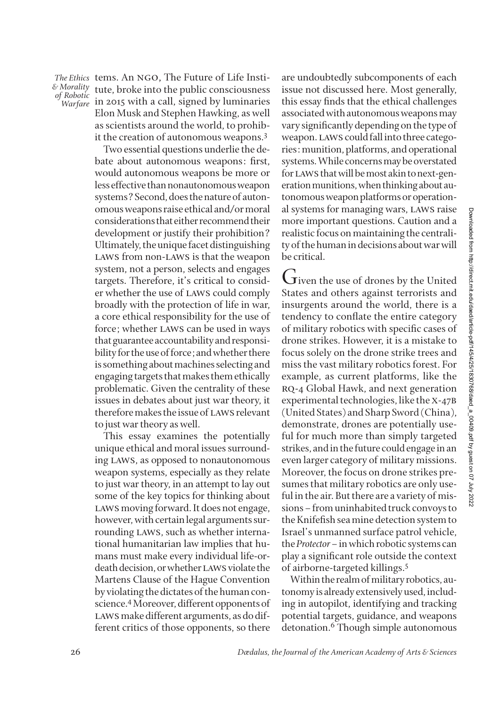The Ethics tems. An NGO, The Future of Life Insti-*& Morality*  tute, broke into the public consciousness *Warfare* in 2015 with a call, signed by luminaries Elon Musk and Stephen Hawking, as well as scientists around the world, to prohibit the creation of autonomous weapons.3

> Two essential questions underlie the debate about autonomous weapons: first, would autonomous weapons be more or less effective than nonautonomous weapon systems? Second, does the nature of autonomous weapons raise ethical and/or moral considerations that either recommend their development or justify their prohibition? Ultimately, the unique facet distinguishing laws from non-laws is that the weapon system, not a person, selects and engages targets. Therefore, it's critical to consider whether the use of laws could comply broadly with the protection of life in war, a core ethical responsibility for the use of force; whether laws can be used in ways that guarantee accountability and responsibility for the use of force; and whether there is something about machines selecting and engaging targets that makes them ethically problematic. Given the centrality of these issues in debates about just war theory, it therefore makes the issue of laws relevant to just war theory as well.

> This essay examines the potentially unique ethical and moral issues surrounding laws, as opposed to nonautonomous weapon systems, especially as they relate to just war theory, in an attempt to lay out some of the key topics for thinking about laws moving forward. It does not engage, however, with certain legal arguments surrounding laws, such as whether international humanitarian law implies that humans must make every individual life-ordeath decision, or whether laws violate the Martens Clause of the Hague Convention by violating the dictates of the human conscience.4 Moreover, different opponents of laws make different arguments, as do different critics of those opponents, so there

are undoubtedly subcomponents of each issue not discussed here. Most generally, this essay finds that the ethical challenges associated with autonomous weapons may vary significantly depending on the type of weapon. LAWS could fall into three categories: munition, platforms, and operational systems. While concerns may be overstated for laws that will be most akin to next-generation munitions, when thinking about autonomous weapon platforms or operational systems for managing wars, laws raise more important questions. Caution and a realistic focus on maintaining the centrality of the human in decisions about war will be critical.

 $\mathbf G$ iven the use of drones by the United States and others against terrorists and insurgents around the world, there is a tendency to conflate the entire category of military robotics with specific cases of drone strikes. However, it is a mistake to focus solely on the drone strike trees and miss the vast military robotics forest. For example, as current platforms, like the rq-4 Global Hawk, and next generation experimental technologies, like the x-47b (United States) and Sharp Sword (China), demonstrate, drones are potentially useful for much more than simply targeted strikes, and in the future could engage in an even larger category of military missions. Moreover, the focus on drone strikes presumes that military robotics are only useful in the air. But there are a variety of missions–from uninhabited truck convoys to the Knifefish sea mine detection system to Israel's unmanned surface patrol vehicle, the *Protector*–in which robotic systems can play a significant role outside the context of airborne-targeted killings.5

Within the realm of military robotics, autonomy is already extensively used, including in autopilot, identifying and tracking potential targets, guidance, and weapons detonation.<sup>6</sup> Though simple autonomous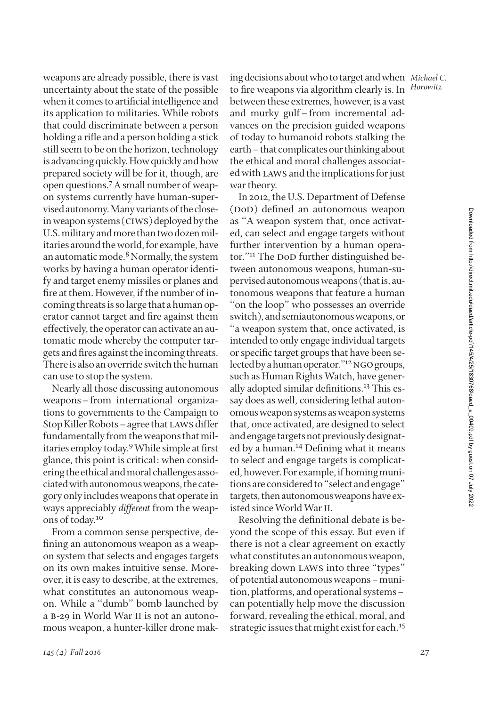Downloaded from http://direct.mit.edu/daed/article-pdf/145/4/25/1830768/daed\_a\_00409.pdf by guest on 07 July 2022 Downloaded from http://direct.mit.edu/daed/article-pdf/145/4/25/1830768/daed\_a\_00409.pdf by guest on 07 July 2022

*Horowitz*

weapons are already possible, there is vast uncertainty about the state of the possible when it comes to artificial intelligence and its application to militaries. While robots that could discriminate between a person holding a rifle and a person holding a stick still seem to be on the horizon, technology is advancing quickly. How quickly and how prepared society will be for it, though, are open questions.7 A small number of weapon systems currently have human-supervised autonomy. Many variants of the closein weapon systems (ciws) deployed by the U.S. military and more than two dozen militaries around the world, for example, have an automatic mode.8 Normally, the system works by having a human operator identify and target enemy missiles or planes and fire at them. However, if the number of incoming threats is so large that a human operator cannot target and fire against them effectively, the operator can activate an automatic mode whereby the computer targets and fires against the incoming threats. There is also an override switch the human can use to stop the system.

Nearly all those discussing autonomous weapons–from international organizations to governments to the Campaign to Stop Killer Robots–agree that laws differ fundamentally from the weapons that militaries employ today.9 While simple at first glance, this point is critical: when considering the ethical and moral challenges associated with autonomous weapons, the category only includes weapons that operate in ways appreciably *different* from the weapons of today.10

From a common sense perspective, defining an autonomous weapon as a weapon system that selects and engages targets on its own makes intuitive sense. Moreover, it is easy to describe, at the extremes, what constitutes an autonomous weapon. While a "dumb" bomb launched by a b-29 in World War II is not an autonomous weapon, a hunter-killer drone mak-

ing decisions about who to target and when Michael C. to fire weapons via algorithm clearly is. In between these extremes, however, is a vast and murky gulf–from incremental advances on the precision guided weapons of today to humanoid robots stalking the earth–that complicates our thinking about the ethical and moral challenges associated with laws and the implications for just war theory.

In 2012, the U.S. Department of Defense (DoD) defined an autonomous weapon as "A weapon system that, once activated, can select and engage targets without further intervention by a human operator."<sup>11</sup> The DoD further distinguished between autonomous weapons, human-supervised autonomous weapons (that is, autonomous weapons that feature a human "on the loop" who possesses an override switch), and semiautonomous weapons, or "a weapon system that, once activated, is intended to only engage individual targets or specific target groups that have been selected by a human operator."<sup>12</sup> NGO groups, such as Human Rights Watch, have generally adopted similar definitions.13 This essay does as well, considering lethal autonomous weapon systems as weapon systems that, once activated, are designed to select and engage targets not previously designated by a human.<sup>14</sup> Defining what it means to select and engage targets is complicated, however. For example, if homing munitions are considered to "select and engage" targets, then autonomous weapons have existed since World War II.

Resolving the definitional debate is beyond the scope of this essay. But even if there is not a clear agreement on exactly what constitutes an autonomous weapon, breaking down laws into three "types" of potential autonomous weapons–munition, platforms, and operational systems– can potentially help move the discussion forward, revealing the ethical, moral, and strategic issues that might exist for each.<sup>15</sup>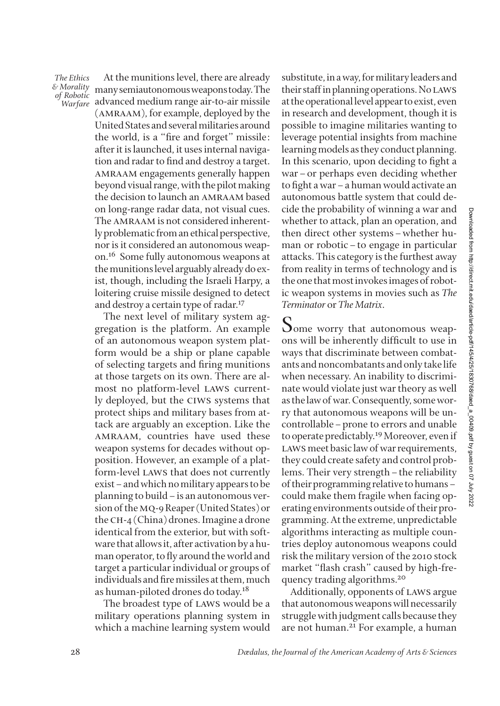*The Ethics & Morality of Robotic* 

*Warfare* advanced medium range air-to-air missile At the munitions level, there are already many semiautonomous weapons today. The

(amraam), for example, deployed by the United States and several militaries around the world, is a "fire and forget" missile: after it is launched, it uses internal navigation and radar to find and destroy a target. amraam engagements generally happen beyond visual range, with the pilot making the decision to launch an amraam based on long-range radar data, not visual cues. The amraam is not considered inherently problematic from an ethical perspective, nor is it considered an autonomous weapon.16 Some fully autonomous weapons at the munitions level arguably already do exist, though, including the Israeli Harpy, a loitering cruise missile designed to detect and destroy a certain type of radar.17

The next level of military system aggregation is the platform. An example of an autonomous weapon system platform would be a ship or plane capable of selecting targets and firing munitions at those targets on its own. There are almost no platform-level laws currently deployed, but the ciws systems that protect ships and military bases from attack are arguably an exception. Like the AMRAAM, countries have used these weapon systems for decades without opposition. However, an example of a platform-level laws that does not currently exist–and which no military appears to be planning to build–is an autonomous version of the mq-9 Reaper (United States) or the  $CH-4$  (China) drones. Imagine a drone identical from the exterior, but with software that allows it, after activation by a human operator, to fly around the world and target a particular individual or groups of individuals and fire missiles at them, much as human-piloted drones do today.18

The broadest type of laws would be a military operations planning system in which a machine learning system would

substitute, in a way, for military leaders and their staff in planning operations. No laws at the operational level appear to exist, even in research and development, though it is possible to imagine militaries wanting to leverage potential insights from machine learning models as they conduct planning. In this scenario, upon deciding to fight a war–or perhaps even deciding whether to fight a war–a human would activate an autonomous battle system that could decide the probability of winning a war and whether to attack, plan an operation, and then direct other systems–whether human or robotic–to engage in particular attacks. This category is the furthest away from reality in terms of technology and is the one that most invokes images of robotic weapon systems in movies such as *The Terminator* or *The Matrix*.

Some worry that autonomous weapons will be inherently difficult to use in ways that discriminate between combatants and noncombatants and only take life when necessary. An inability to discriminate would violate just war theory as well as the law of war. Consequently, some worry that autonomous weapons will be uncontrollable–prone to errors and unable to operate predictably.19 Moreover, even if laws meet basic law of war requirements, they could create safety and control problems. Their very strength–the reliability of their programming relative to humans– could make them fragile when facing operating environments outside of their programming. At the extreme, unpredictable algorithms interacting as multiple countries deploy autonomous weapons could risk the military version of the 2010 stock market "flash crash" caused by high-frequency trading algorithms.20

Additionally, opponents of laws argue that autonomous weapons will necessarily struggle with judgment calls because they are not human.<sup>21</sup> For example, a human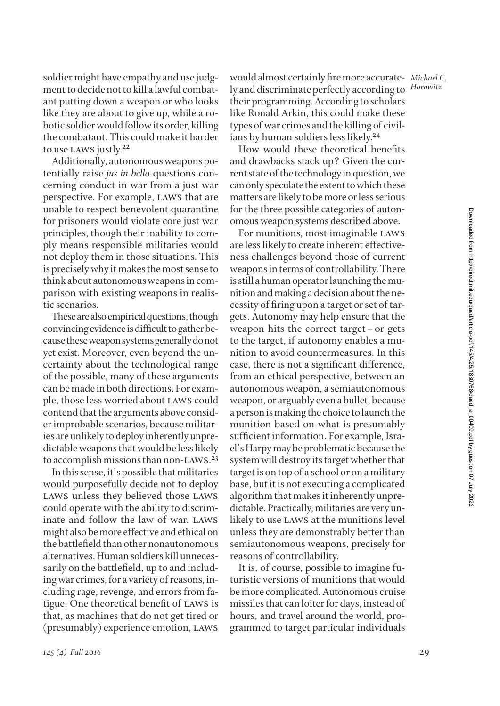soldier might have empathy and use judgment to decide not to kill a lawful combatant putting down a weapon or who looks like they are about to give up, while a robotic soldier would follow its order, killing the combatant. This could make it harder to use LAWS justly.<sup>22</sup>

Additionally, autonomous weapons potentially raise *jus in bello* questions concerning conduct in war from a just war perspective. For example, laws that are unable to respect benevolent quarantine for prisoners would violate core just war principles, though their inability to comply means responsible militaries would not deploy them in those situations. This is precisely why it makes the most sense to think about autonomous weapons in comparison with existing weapons in realistic scenarios.

These are also empirical questions, though convincing evidence is difficult to gather because these weapon systems generally do not yet exist. Moreover, even beyond the uncertainty about the technological range of the possible, many of these arguments can be made in both directions. For example, those less worried about laws could contend that the arguments above consider improbable scenarios, because militaries are unlikely to deploy inherently unpredictable weapons that would be less likely to accomplish missions than non-LAWS.<sup>23</sup>

In this sense, it's possible that militaries would purposefully decide not to deploy laws unless they believed those laws could operate with the ability to discriminate and follow the law of war. laws might also be more effective and ethical on the battlefield than other nonautonomous alternatives. Human soldiers kill unnecessarily on the battlefield, up to and including war crimes, for a variety of reasons, including rage, revenge, and errors from fatigue. One theoretical benefit of laws is that, as machines that do not get tired or (presumably) experience emotion, laws

would almost certainly fire more accurate- Michael C. *Horowitz* ly and discriminate perfectly according to their programming. According to scholars like Ronald Arkin, this could make these types of war crimes and the killing of civilians by human soldiers less likely.<sup>24</sup>

How would these theoretical benefits and drawbacks stack up? Given the current state of the technology in question, we can only speculate the extent to which these matters are likely to be more or less serious for the three possible categories of autonomous weapon systems described above.

For munitions, most imaginable laws are less likely to create inherent effectiveness challenges beyond those of current weapons in terms of controllability. There is still a human operator launching the munition and making a decision about the necessity of firing upon a target or set of targets. Autonomy may help ensure that the weapon hits the correct target–or gets to the target, if autonomy enables a munition to avoid countermeasures. In this case, there is not a significant difference, from an ethical perspective, between an autonomous weapon, a semiautonomous weapon, or arguably even a bullet, because a person is making the choice to launch the munition based on what is presumably sufficient information. For example, Israel's Harpy may be problematic because the system will destroy its target whether that target is on top of a school or on a military base, but it is not executing a complicated algorithm that makes it inherently unpredictable. Practically, militaries are very unlikely to use laws at the munitions level unless they are demonstrably better than semiautonomous weapons, precisely for reasons of controllability.

It is, of course, possible to imagine futuristic versions of munitions that would be more complicated. Autonomous cruise missiles that can loiter for days, instead of hours, and travel around the world, programmed to target particular individuals

*145 (4) Fall 2016* 29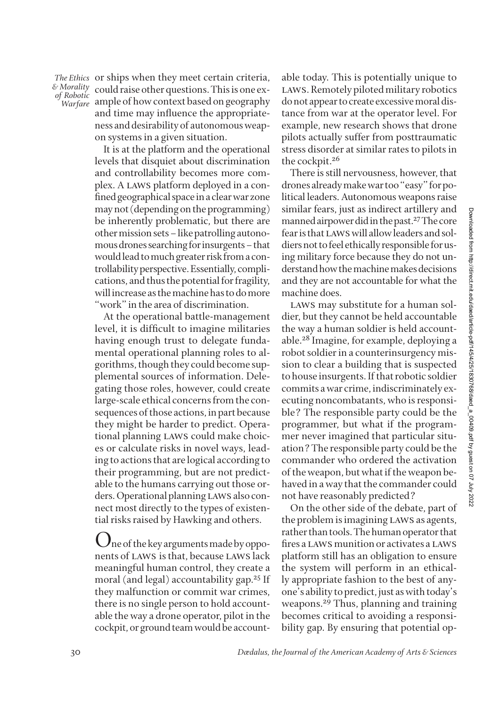*The Ethics*  or ships when they meet certain criteria, *& Morality*  could raise other questions. This is one ex-*Warfare* ample of how context based on geography and time may influence the appropriateness and desirability of autonomous weapon systems in a given situation.

> It is at the platform and the operational levels that disquiet about discrimination and controllability becomes more complex. A laws platform deployed in a confined geographical space in a clear war zone may not (depending on the programming) be inherently problematic, but there are other mission sets–like patrolling autonomous drones searching for insurgents–that would lead to much greater risk from a controllability perspective. Essentially, complications, and thus the potential for fragility, will increase as the machine has to do more "work" in the area of discrimination.

> At the operational battle-management level, it is difficult to imagine militaries having enough trust to delegate fundamental operational planning roles to algorithms, though they could become supplemental sources of information. Delegating those roles, however, could create large-scale ethical concerns from the consequences of those actions, in part because they might be harder to predict. Operational planning laws could make choices or calculate risks in novel ways, leading to actions that are logical according to their programming, but are not predictable to the humans carrying out those orders. Operational planning laws also connect most directly to the types of existential risks raised by Hawking and others.

> $\bm{U}$ ne of the key arguments made by opponents of laws is that, because laws lack meaningful human control, they create a moral (and legal) accountability gap.25 If they malfunction or commit war crimes, there is no single person to hold accountable the way a drone operator, pilot in the cockpit, or ground team would be account

able today. This is potentially unique to laws. Remotely piloted military robotics do not appear to create excessive moral distance from war at the operator level. For example, new research shows that drone pilots actually suffer from posttraumatic stress disorder at similar rates to pilots in the cockpit.26

There is still nervousness, however, that drones already make war too "easy" for political leaders. Autonomous weapons raise similar fears, just as indirect artillery and manned airpower did in the past.27 The core fear is that laws will allow leaders and soldiers not to feel ethically responsible for using military force because they do not understand how the machine makes decisions and they are not accountable for what the machine does.

LAWS may substitute for a human soldier, but they cannot be held accountable the way a human soldier is held accountable.28 Imagine, for example, deploying a robot soldier in a counterinsurgency mission to clear a building that is suspected to house insurgents. If that robotic soldier commits a war crime, indiscriminately executing noncombatants, who is responsible? The responsible party could be the programmer, but what if the programmer never imagined that particular situation? The responsible party could be the commander who ordered the activation of the weapon, but what if the weapon behaved in a way that the commander could not have reasonably predicted?

On the other side of the debate, part of the problem is imagining laws as agents, rather than tools. The human operator that fires a laws munition or activates a laws platform still has an obligation to ensure the system will perform in an ethically appropriate fashion to the best of anyone's ability to predict, just as with today's weapons.29 Thus, planning and training becomes critical to avoiding a responsibility gap. By ensuring that potential op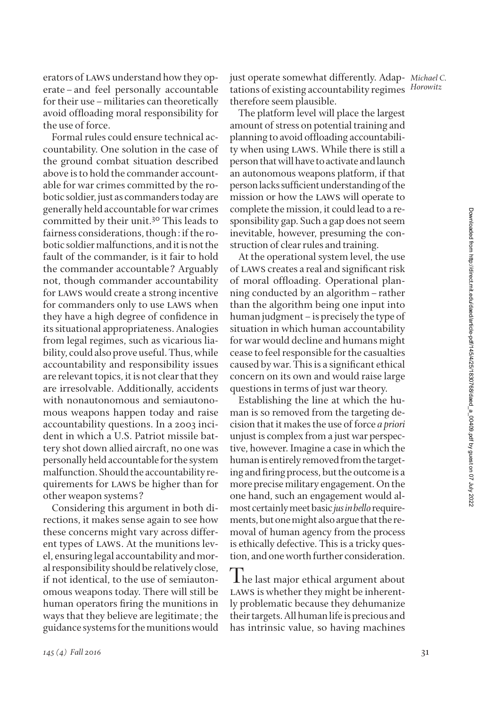erators of laws understand how they operate–and feel personally accountable for their use–militaries can theoretically avoid offloading moral responsibility for the use of force.

Formal rules could ensure technical accountability. One solution in the case of the ground combat situation described above is to hold the commander accountable for war crimes committed by the robotic soldier, just as commanders today are generally held accountable for war crimes committed by their unit.30 This leads to fairness considerations, though: if the robotic soldier malfunctions, and it is not the fault of the commander, is it fair to hold the commander accountable? Arguably not, though commander accountability for laws would create a strong incentive for commanders only to use laws when they have a high degree of confidence in its situational appropriateness. Analogies from legal regimes, such as vicarious liability, could also prove useful. Thus, while accountability and responsibility issues are relevant topics, it is not clear that they are irresolvable. Additionally, accidents with nonautonomous and semiautonomous weapons happen today and raise accountability questions. In a 2003 incident in which a U.S. Patriot missile battery shot down allied aircraft, no one was personally held accountable for the system malfunction. Should the accountability requirements for laws be higher than for other weapon systems?

Considering this argument in both directions, it makes sense again to see how these concerns might vary across different types of laws. At the munitions level, ensuring legal accountability and moral responsibility should be relatively close, if not identical, to the use of semiautonomous weapons today. There will still be human operators firing the munitions in ways that they believe are legitimate; the guidance systems for the munitions would

just operate somewhat differently. Adap- Michael C. *Horowitz* tations of existing accountability regimes therefore seem plausible.

The platform level will place the largest amount of stress on potential training and planning to avoid offloading accountability when using laws. While there is still a person that will have to activate and launch an autonomous weapons platform, if that person lacks sufficient understanding of the mission or how the laws will operate to complete the mission, it could lead to a responsibility gap. Such a gap does not seem inevitable, however, presuming the construction of clear rules and training.

At the operational system level, the use of laws creates a real and significant risk of moral offloading. Operational planning conducted by an algorithm–rather than the algorithm being one input into human judgment–is precisely the type of situation in which human accountability for war would decline and humans might cease to feel responsible for the casualties caused by war. This is a significant ethical concern on its own and would raise large questions in terms of just war theory.

Establishing the line at which the human is so removed from the targeting decision that it makes the use of force *a priori* unjust is complex from a just war perspective, however. Imagine a case in which the human is entirely removed from the targeting and firing process, but the outcome is a more precise military engagement. On the one hand, such an engagement would almost certainly meet basic *jus in bello* requirements, but one might also argue that the removal of human agency from the process is ethically defective. This is a tricky question, and one worth further consideration.

The last major ethical argument about laws is whether they might be inherently problematic because they dehumanize their targets. All human life is precious and has intrinsic value, so having machines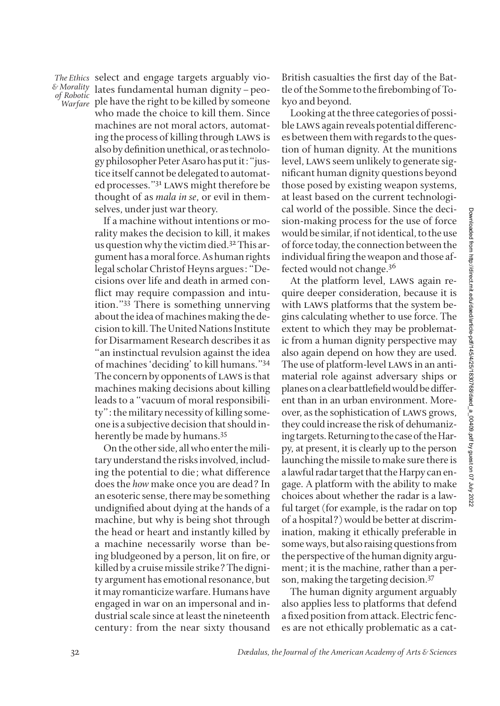*The Ethics*  select and engage targets arguably vio-*& Morality*  lates fundamental human dignity–peo-*Warfare* ple have the right to be killed by someone who made the choice to kill them. Since machines are not moral actors, automating the process of killing through laws is also by definition unethical, or as technology philosopher Peter Asaro has put it: "justice itself cannot be delegated to automated processes."<sup>31</sup> laws might therefore be thought of as *mala in se*, or evil in themselves, under just war theory.

> If a machine without intentions or morality makes the decision to kill, it makes us question why the victim died.32 This argument has a moral force. As human rights legal scholar Christof Heyns argues: "Decisions over life and death in armed conflict may require compassion and intuition."33 There is something unnerving about the idea of machines making the decision to kill. The United Nations Institute for Disarmament Research describes it as "an instinctual revulsion against the idea of machines 'deciding' to kill humans."34 The concern by opponents of LAWS is that machines making decisions about killing leads to a "vacuum of moral responsibility": the military necessity of killing someone is a subjective decision that should inherently be made by humans.<sup>35</sup>

> On the other side, all who enter the military understand the risks involved, including the potential to die; what difference does the *how* make once you are dead? In an esoteric sense, there may be something undignified about dying at the hands of a machine, but why is being shot through the head or heart and instantly killed by a machine necessarily worse than being bludgeoned by a person, lit on fire, or killed by a cruise missile strike? The dignity argument has emotional resonance, but it may romanticize warfare. Humans have engaged in war on an impersonal and industrial scale since at least the nineteenth century: from the near sixty thousand

British casualties the first day of the Battle of the Somme to the firebombing of Tokyo and beyond.

Looking at the three categories of possible LAWS again reveals potential differences between them with regards to the question of human dignity. At the munitions level, laws seem unlikely to generate significant human dignity questions beyond those posed by existing weapon systems, at least based on the current technological world of the possible. Since the decision-making process for the use of force would be similar, if not identical, to the use of force today, the connection between the individual firing the weapon and those affected would not change.<sup>36</sup>

At the platform level, laws again require deeper consideration, because it is with laws platforms that the system begins calculating whether to use force. The extent to which they may be problematic from a human dignity perspective may also again depend on how they are used. The use of platform-level laws in an antimaterial role against adversary ships or planes on a clear battlefield would be different than in an urban environment. Moreover, as the sophistication of laws grows, they could increase the risk of dehumanizing targets. Returning to the case of the Harpy, at present, it is clearly up to the person launching the missile to make sure there is a lawful radar target that the Harpy can engage. A platform with the ability to make choices about whether the radar is a lawful target (for example, is the radar on top of a hospital?) would be better at discrimination, making it ethically preferable in some ways, but also raising questions from the perspective of the human dignity argument; it is the machine, rather than a person, making the targeting decision.37

The human dignity argument arguably also applies less to platforms that defend a fixed position from attack. Electric fences are not ethically problematic as a cat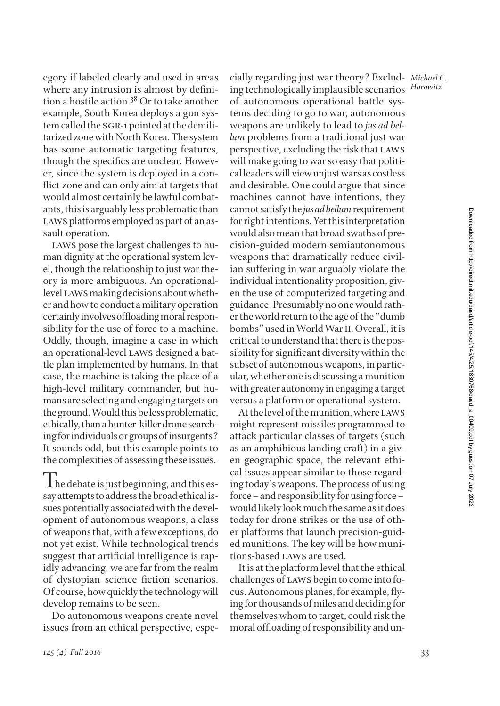egory if labeled clearly and used in areas where any intrusion is almost by definition a hostile action.38 Or to take another example, South Korea deploys a gun system called the SGR-1 pointed at the demilitarized zone with North Korea. The system has some automatic targeting features, though the specifics are unclear. However, since the system is deployed in a conflict zone and can only aim at targets that would almost certainly be lawful combatants, this is arguably less problematic than laws platforms employed as part of an assault operation.

laws pose the largest challenges to human dignity at the operational system level, though the relationship to just war theory is more ambiguous. An operationallevel laws making decisions about whether and how to conduct a military operation certainly involves offloading moral responsibility for the use of force to a machine. Oddly, though, imagine a case in which an operational-level laws designed a battle plan implemented by humans. In that case, the machine is taking the place of a high-level military commander, but humans are selecting and engaging targets on the ground. Would this be less problematic, ethically, than a hunter-killer drone searching for individuals or groups of insurgents? It sounds odd, but this example points to the complexities of assessing these issues.

The debate is just beginning, and this essay attempts to address the broad ethical issues potentially associated with the development of autonomous weapons, a class of weapons that, with a few exceptions, do not yet exist. While technological trends suggest that artificial intelligence is rapidly advancing, we are far from the realm of dystopian science fiction scenarios. Of course, how quickly the technology will develop remains to be seen.

Do autonomous weapons create novel issues from an ethical perspective, espe-

cially regarding just war theory? Exclud- Michael C. *Horowitz* ing technologically implausible scenarios of autonomous operational battle systems deciding to go to war, autonomous weapons are unlikely to lead to *jus ad bellum* problems from a traditional just war perspective, excluding the risk that laws will make going to war so easy that political leaders will view unjust wars as costless and desirable. One could argue that since machines cannot have intentions, they cannot satisfy the *jus ad bellum* requirement for right intentions. Yet this interpretation would also mean that broad swaths of precision-guided modern semiautonomous weapons that dramatically reduce civilian suffering in war arguably violate the individual intentionality proposition, given the use of computerized targeting and guidance. Presumably no one would rather the world return to the age of the "dumb bombs" used in World War II. Overall, it is critical to understand that there is the possibility for significant diversity within the subset of autonomous weapons, in particular, whether one is discussing a munition with greater autonomy in engaging a target versus a platform or operational system.

At the level of the munition, where laws might represent missiles programmed to attack particular classes of targets (such as an amphibious landing craft) in a given geographic space, the relevant ethical issues appear similar to those regarding today's weapons. The process of using force–and responsibility for using force– would likely look much the same as it does today for drone strikes or the use of other platforms that launch precision-guided munitions. The key will be how munitions-based laws are used.

It is at the platform level that the ethical challenges of laws begin to come into focus. Autonomous planes, for example, flying for thousands of miles and deciding for themselves whom to target, could risk the moral offloading of responsibility and un-

## *145 (4) Fall 2016* 33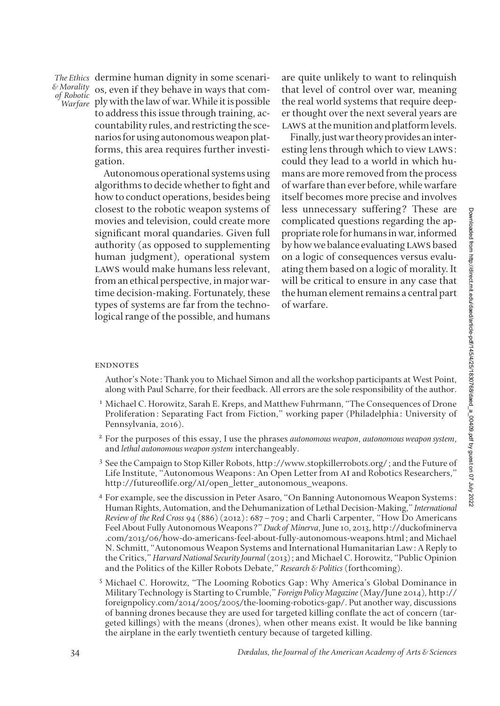*The Ethics*  dermine human dignity in some scenari-*& Morality*  os, even if they behave in ways that com-*Warfare* ply with the law of war. While it is possible to address this issue through training, accountability rules, and restricting the scenarios for using autonomous weapon platforms, this area requires further investigation.

> Autonomous operational systems using algorithms to decide whether to fight and how to conduct operations, besides being closest to the robotic weapon systems of movies and television, could create more significant moral quandaries. Given full authority (as opposed to supplementing human judgment), operational system LAWS would make humans less relevant, from an ethical perspective, in major wartime decision-making. Fortunately, these types of systems are far from the technological range of the possible, and humans

are quite unlikely to want to relinquish that level of control over war, meaning the real world systems that require deeper thought over the next several years are LAWS at the munition and platform levels.

Finally, just war theory provides an interesting lens through which to view laws: could they lead to a world in which humans are more removed from the process of warfare than ever before, while warfare itself becomes more precise and involves less unnecessary suffering? These are complicated questions regarding the appropriate role for humans in war, informed by how we balance evaluating laws based on a logic of consequences versus evaluating them based on a logic of morality. It will be critical to ensure in any case that the human element remains a central part of warfare.

## **ENDNOTES**

 Author's Note: Thank you to Michael Simon and all the workshop participants at West Point, along with Paul Scharre, for their feedback. All errors are the sole responsibility of the author.

- <sup>1</sup> Michael C. Horowitz, Sarah E. Kreps, and Matthew Fuhrmann, "The Consequences of Drone Proliferation: Separating Fact from Fiction," working paper (Philadelphia: University of Pennsylvania, 2016).
- <sup>2</sup> For the purposes of this essay, I use the phrases *autonomous weapon*, *autonomous weapon system*, and *lethal autonomous weapon system* interchangeably.
- <sup>3</sup> See the Campaign to Stop Killer Robots, http://www.stopkillerrobots.org/; and the Future of Life Institute, "Autonomous Weapons: An Open Letter from AI and Robotics Researchers," http://futureoflife.org/AI/open\_letter\_autonomous\_weapons.
- <sup>4</sup> For example, see the discussion in Peter Asaro, "On Banning Autonomous Weapon Systems: Human Rights, Automation, and the Dehumanization of Lethal Decision-Making," *International Review of the Red Cross* 94 (886) (2012): 687–709; and Charli Carpenter, "How Do Americans Feel About Fully Autonomous Weapons?" *Duck of Minerva*, June 10, 2013, http://duckofminerva .com/2013/06/how-do-americans-feel-about-fully-autonomous-weapons.html; and Michael N. Schmitt, "Autonomous Weapon Systems and International Humanitarian Law: A Reply to the Critics," *Harvard National Security Journal* (2013); and Michael C. Horowitz, "Public Opinion and the Politics of the Killer Robots Debate," *Research & Politics* (forthcoming).
- <sup>5</sup> Michael C. Horowitz, "The Looming Robotics Gap: Why America's Global Dominance in Military Technology is Starting to Crumble," *Foreign Policy Magazine* (May/June 2014), http:// foreignpolicy.com/2014/2005/2005/the-looming-robotics-gap/. Put another way, discussions of banning drones because they are used for targeted killing conflate the act of concern (targeted killings) with the means (drones), when other means exist. It would be like banning the airplane in the early twentieth century because of targeted killing.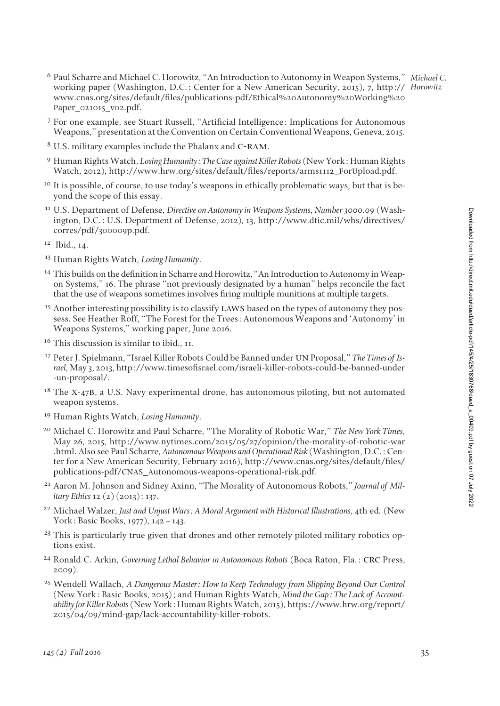- <sup>6</sup> Paul Scharre and Michael C. Horowitz, "An Introduction to Autonomy in Weapon Systems," Michael C. working paper (Washington, D.C.: Center for a New American Security, 2015), 7, http:// *Horowitz* www.cnas.org/sites/default/files/publications-pdf/Ethical%20Autonomy%20Working%20 Paper\_021015\_v02.pdf.
- <sup>7</sup> For one example, see Stuart Russell, "Artificial Intelligence: Implications for Autonomous Weapons," presentation at the Convention on Certain Conventional Weapons, Geneva, 2015.
- <sup>8</sup> U.S. military examples include the Phalanx and C-RAM.
- <sup>9</sup> Human Rights Watch, *Losing Humanity: The Case against Killer Robots* (New York: Human Rights Watch, 2012), http://www.hrw.org/sites/default/files/reports/arms1112\_ForUpload.pdf.
- $10<sup>10</sup>$  It is possible, of course, to use today's weapons in ethically problematic ways, but that is beyond the scope of this essay.
- <sup>11</sup> U.S. Department of Defense, *Directive on Autonomy in Weapons Systems, Number 3000.09* (Washington, D.C.: U.S. Department of Defense, 2012), 13, http://www.dtic.mil/whs/directives/ corres/pdf/300009p.pdf.
- 12 Ibid., 14.
- <sup>13</sup> Human Rights Watch, *Losing Humanity*.
- <sup>14</sup> This builds on the definition in Scharre and Horowitz, "An Introduction to Autonomy in Weapon Systems," 16. The phrase "not previously designated by a human" helps reconcile the fact that the use of weapons sometimes involves firing multiple munitions at multiple targets.
- <sup>15</sup> Another interesting possibility is to classify LAWS based on the types of autonomy they possess. See Heather Roff, "The Forest for the Trees: Autonomous Weapons and 'Autonomy' in Weapons Systems," working paper, June 2016.
- <sup>16</sup> This discussion is similar to ibid., 11.
- <sup>17</sup> Peter J. Spielmann, "Israel Killer Robots Could be Banned under un Proposal," *The Times of Israel*, May 3, 2013, http://www.timesofisrael.com/israeli-killer-robots-could-be-banned-under -un-proposal/.
- $18$  The X-47B, a U.S. Navy experimental drone, has autonomous piloting, but not automated weapon systems.
- <sup>19</sup> Human Rights Watch, *Losing Humanity*.
- <sup>20</sup> Michael C. Horowitz and Paul Scharre, "The Morality of Robotic War," *The New York Times*, May 26, 2015, http://www.nytimes.com/2015/05/27/opinion/the-morality-of-robotic-war .html. Also see Paul Scharre, *Autonomous Weapons and Operational Risk* (Washington, D.C.: Center for a New American Security, February 2016), http://www.cnas.org/sites/default/files/ publications-pdf/CNAS\_Autonomous-weapons-operational-risk.pdf.
- <sup>21</sup> Aaron M. Johnson and Sidney Axinn, "The Morality of Autonomous Robots," *Journal of Military Ethics* 12 (2) (2013): 137.
- <sup>22</sup> Michael Walzer, *Just and Unjust Wars: A Moral Argument with Historical Illustrations*, 4th ed*.* (New York: Basic Books, 1977), 142–143.
- $23$  This is particularly true given that drones and other remotely piloted military robotics options exist.
- <sup>24</sup> Ronald C. Arkin, *Governing Lethal Behavior in Autonomous Robots* (Boca Raton, Fla.: crc Press, 2009).
- <sup>25</sup> Wendell Wallach, *A Dangerous Master: How to Keep Technology from Slipping Beyond Our Control* (New York: Basic Books, 2015); and Human Rights Watch, *Mind the Gap: The Lack of Accountability for Killer Robots* (New York: Human Rights Watch, 2015), https://www.hrw.org/report/ 2015/04/09/mind-gap/lack-accountability-killer-robots.